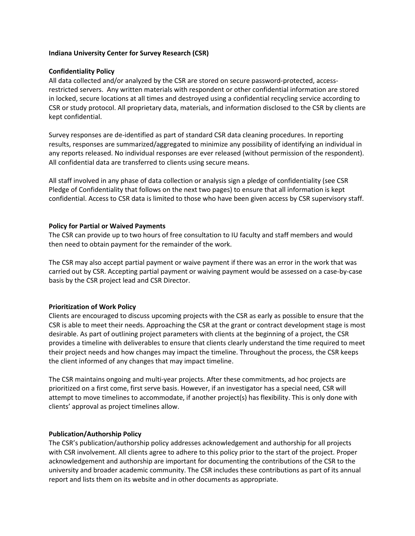## **Indiana University Center for Survey Research (CSR)**

## **Confidentiality Policy**

All data collected and/or analyzed by the CSR are stored on secure password-protected, accessrestricted servers. Any written materials with respondent or other confidential information are stored in locked, secure locations at all times and destroyed using a confidential recycling service according to CSR or study protocol. All proprietary data, materials, and information disclosed to the CSR by clients are kept confidential.

Survey responses are de-identified as part of standard CSR data cleaning procedures. In reporting results, responses are summarized/aggregated to minimize any possibility of identifying an individual in any reports released. No individual responses are ever released (without permission of the respondent). All confidential data are transferred to clients using secure means.

All staff involved in any phase of data collection or analysis sign a pledge of confidentiality (see CSR Pledge of Confidentiality that follows on the next two pages) to ensure that all information is kept confidential. Access to CSR data is limited to those who have been given access by CSR supervisory staff.

## **Policy for Partial or Waived Payments**

The CSR can provide up to two hours of free consultation to IU faculty and staff members and would then need to obtain payment for the remainder of the work.

The CSR may also accept partial payment or waive payment if there was an error in the work that was carried out by CSR. Accepting partial payment or waiving payment would be assessed on a case-by-case basis by the CSR project lead and CSR Director.

# **Prioritization of Work Policy**

Clients are encouraged to discuss upcoming projects with the CSR as early as possible to ensure that the CSR is able to meet their needs. Approaching the CSR at the grant or contract development stage is most desirable. As part of outlining project parameters with clients at the beginning of a project, the CSR provides a timeline with deliverables to ensure that clients clearly understand the time required to meet their project needs and how changes may impact the timeline. Throughout the process, the CSR keeps the client informed of any changes that may impact timeline.

The CSR maintains ongoing and multi-year projects. After these commitments, ad hoc projects are prioritized on a first come, first serve basis. However, if an investigator has a special need, CSR will attempt to move timelines to accommodate, if another project(s) has flexibility. This is only done with clients' approval as project timelines allow.

#### **Publication/Authorship Policy**

The CSR's publication/authorship policy addresses acknowledgement and authorship for all projects with CSR involvement. All clients agree to adhere to this policy prior to the start of the project. Proper acknowledgement and authorship are important for documenting the contributions of the CSR to the university and broader academic community. The CSR includes these contributions as part of its annual report and lists them on its website and in other documents as appropriate.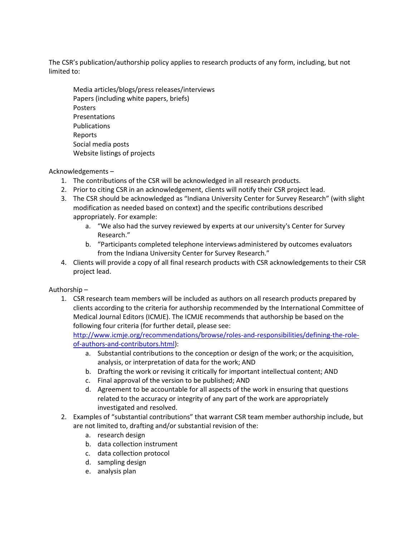The CSR's publication/authorship policy applies to research products of any form, including, but not limited to:

Media articles/blogs/press releases/interviews Papers (including white papers, briefs) Posters Presentations Publications Reports Social media posts Website listings of projects

# Acknowledgements –

- 1. The contributions of the CSR will be acknowledged in all research products.
- 2. Prior to citing CSR in an acknowledgement, clients will notify their CSR project lead.
- 3. The CSR should be acknowledged as "Indiana University Center for Survey Research" (with slight modification as needed based on context) and the specific contributions described appropriately. For example:
	- a. "We also had the survey reviewed by experts at our university's Center for Survey Research."
	- b. "Participants completed telephone interviews administered by outcomes evaluators from the Indiana University Center for Survey Research."
- 4. Clients will provide a copy of all final research products with CSR acknowledgements to their CSR project lead.

# Authorship –

1. CSR research team members will be included as authors on all research products prepared by clients according to the criteria for authorship recommended by the International Committee of Medical Journal Editors (ICMJE). The ICMJE recommends that authorship be based on the following four criteria (for further detail, please see:

[http://www.icmje.org/recommendations/browse/roles-and-responsibilities/defining-the-role](http://www.icmje.org/recommendations/browse/roles-and-responsibilities/defining-the-role-of-authors-and-contributors.html)[of-authors-and-contributors.html\)](http://www.icmje.org/recommendations/browse/roles-and-responsibilities/defining-the-role-of-authors-and-contributors.html):

- a. Substantial contributions to the conception or design of the work; or the acquisition, analysis, or interpretation of data for the work; AND
- b. Drafting the work or revising it critically for important intellectual content; AND
- c. Final approval of the version to be published; AND
- d. Agreement to be accountable for all aspects of the work in ensuring that questions related to the accuracy or integrity of any part of the work are appropriately investigated and resolved.
- 2. Examples of "substantial contributions" that warrant CSR team member authorship include, but are not limited to, drafting and/or substantial revision of the:
	- a. research design
	- b. data collection instrument
	- c. data collection protocol
	- d. sampling design
	- e. analysis plan